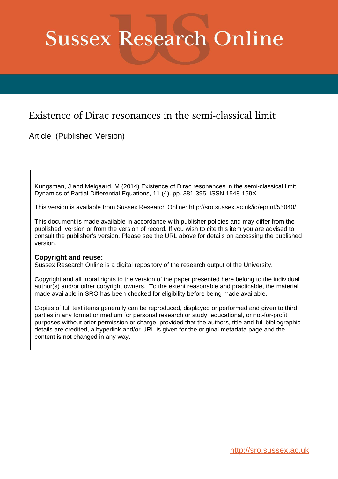# **Sussex Research Online**

# Existence of Dirac resonances in the semi-classical limit

Article (Published Version)

Kungsman, J and Melgaard, M (2014) Existence of Dirac resonances in the semi-classical limit. Dynamics of Partial Differential Equations, 11 (4). pp. 381-395. ISSN 1548-159X

This version is available from Sussex Research Online: http://sro.sussex.ac.uk/id/eprint/55040/

This document is made available in accordance with publisher policies and may differ from the published version or from the version of record. If you wish to cite this item you are advised to consult the publisher's version. Please see the URL above for details on accessing the published version.

# **Copyright and reuse:**

Sussex Research Online is a digital repository of the research output of the University.

Copyright and all moral rights to the version of the paper presented here belong to the individual author(s) and/or other copyright owners. To the extent reasonable and practicable, the material made available in SRO has been checked for eligibility before being made available.

Copies of full text items generally can be reproduced, displayed or performed and given to third parties in any format or medium for personal research or study, educational, or not-for-profit purposes without prior permission or charge, provided that the authors, title and full bibliographic details are credited, a hyperlink and/or URL is given for the original metadata page and the content is not changed in any way.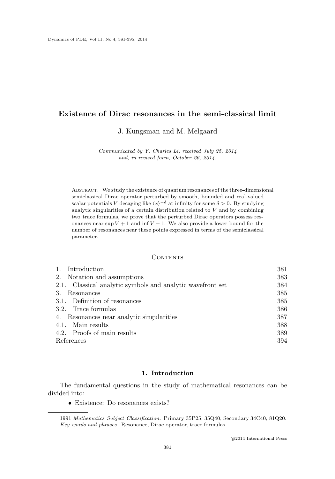# **Existence of Dirac resonances in the semi-classical limit**

J. Kungsman and M. Melgaard

Communicated by Y. Charles Li, received July 25, 2014 and, in revised form, October 26, 2014.

Abstract. We study the existence of quantum resonances of the three-dimensional semiclassical Dirac operator perturbed by smooth, bounded and real-valued scalar potentials V decaying like  $\langle x \rangle^{-\delta}$  at infinity for some  $\delta > 0$ . By studying analytic singularities of a certain distribution related to  $V$  and by combining two trace formulas, we prove that the perturbed Dirac operators possess resonances near sup  $V + 1$  and inf  $V - 1$ . We also provide a lower bound for the number of resonances near these points expressed in terms of the semiclassical parameter.

#### CONTENTS

| Introduction<br>1.                                         | 381 |
|------------------------------------------------------------|-----|
| 2. Notation and assumptions                                | 383 |
| 2.1. Classical analytic symbols and analytic wavefront set | 384 |
| 3.<br>Resonances                                           | 385 |
| 3.1. Definition of resonances                              | 385 |
| 3.2. Trace formulas                                        | 386 |
| 4. Resonances near analytic singularities                  | 387 |
| 4.1. Main results                                          | 388 |
| 4.2. Proofs of main results                                | 389 |
| References                                                 | 394 |

# **1. Introduction**

The fundamental questions in the study of mathematical resonances can be divided into:

• Existence: Do resonances exists?

<sup>1991</sup> Mathematics Subject Classification. Primary 35P25, 35Q40; Secondary 34C40, 81Q20. Key words and phrases. Resonance, Dirac operator, trace formulas.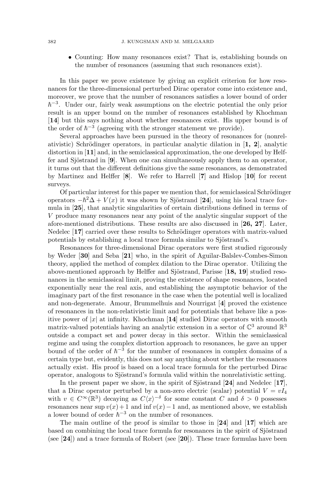• Counting: How many resonances exist? That is, establishing bounds on the number of resonances (assuming that such resonances exist).

In this paper we prove existence by giving an explicit criterion for how resonances for the three-dimensional perturbed Dirac operator come into existence and, moreover, we prove that the number of resonances satisfies a lower bound of order  $\hbar^{-3}$ . Under our, fairly weak assumptions on the electric potential the only prior result is an upper bound on the number of resonances established by Khochman [**14**] but this says nothing about whether resonances exist. His upper bound is of the order of  $\hbar^{-3}$  (agreeing with the stronger statement we provide).

Several approaches have been pursued in the theory of resonances for (nonrelativistic) Schrödinger operators, in particular analytic dilation in  $\mathbf{1, 2}$ , analytic distortion in [**11**] and, in the semiclassical approximation, the one developed by Helffer and Sjöstrand in  $[9]$ . When one can simultaneously apply them to an operator, it turns out that the different definitions give the same resonances, as demonstrated by Martinez and Helffer [**8**]. We refer to Harrell [**7**] and Hislop [**10**] for recent surveys.

Of particular interest for this paper we mention that, for semiclassical Schrödinger operators  $-\hbar^2\Delta + V(x)$  it was shown by Sjöstrand [24], using his local trace formula in [**25**], that analytic singularities of certain distributions defined in terms of V produce many resonances near any point of the analytic singular support of the afore-mentioned distributions. These results are also discussed in [**26, 27**]. Later, Nedelec [17] carried over these results to Schrödinger operators with matrix-valued potentials by establishing a local trace formula similar to Sjöstrand's.

Resonances for three-dimensional Dirac operators were first studied rigorously by Weder [**30**] and Seba [**21**] who, in the spirit of Aguilar-Balslev-Combes-Simon theory, applied the method of complex dilation to the Dirac operator. Utilizing the above-mentioned approach by Helffer and Sjöstrand, Parisse [18, 19] studied resonances in the semiclassical limit, proving the existence of shape resonances, located exponentially near the real axis, and establishing the asymptotic behavior of the imaginary part of the first resonance in the case when the potential well is localized and non-degenerate. Amour, Brummelhuis and Nourrigat [**4**] proved the existence of resonances in the non-relativistic limit and for potentials that behave like a positive power of  $|x|$  at infinity. Khochman [14] studied Dirac operators with smooth matrix-valued potentials having an analytic extension in a sector of  $\mathbb{C}^3$  around  $\mathbb{R}^3$ outside a compact set and power decay in this sector. Within the semiclassical regime and using the complex distortion approach to resonances, he gave an upper bound of the order of  $\hbar^{-3}$  for the number of resonances in complex domains of a certain type but, evidently, this does not say anything about whether the resonances actually exist. His proof is based on a local trace formula for the perturbed Dirac operator, analogous to Sjöstrand's formula valid within the nonrelativistic setting.

In the present paper we show, in the spirit of Sjöstrand  $[24]$  and Nedelec  $[17]$ , that a Dirac operator perturbed by a non-zero electric (scalar) potential  $V = vI<sub>4</sub>$ with  $v \in C^{\infty}(\mathbb{R}^3)$  decaying as  $C\langle x \rangle^{-\delta}$  for some constant C and  $\delta > 0$  possesses resonances near sup  $v(x) + 1$  and inf  $v(x) - 1$  and, as mentioned above, we establish a lower bound of order  $\hbar^{-3}$  on the number of resonances.

The main outline of the proof is similar to those in [**24**] and [**17**] which are based on combining the local trace formula for resonances in the spirit of Sjöstrand (see [**24**]) and a trace formula of Robert (see [**20**]). These trace formulas have been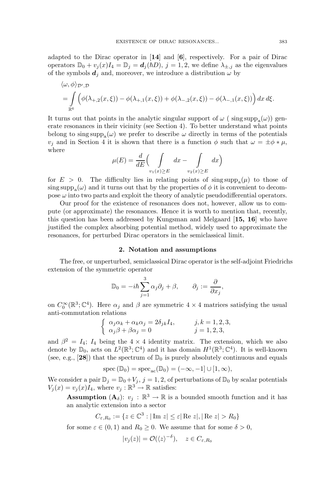adapted to the Dirac operator in [**14**] and [**6**], respectively. For a pair of Dirac operators  $\mathbb{D}_0 + v_j(x)I_4 = \mathbb{D}_j = d_j(\hbar D), j = 1, 2$ , we define  $\lambda_{\pm, j}$  as the eigenvalues of the symbols  $d_i$  and, moreover, we introduce a distribution  $\omega$  by

$$
\langle \omega, \phi \rangle_{\mathcal{D}',\mathcal{D}} = \int_{\mathbb{R}^6} \left( \phi(\lambda_{+,2}(x,\xi)) - \phi(\lambda_{+,1}(x,\xi)) + \phi(\lambda_{-,2}(x,\xi)) - \phi(\lambda_{-,1}(x,\xi)) \right) dx d\xi.
$$

It turns out that points in the analytic singular support of  $\omega$  (sing supp<sub>a</sub> $(\omega)$ ) generate resonances in their vicinity (see Section 4). To better understand what points belong to sing  $\text{supp}_a(\omega)$  we prefer to describe  $\omega$  directly in terms of the potentials  $v_i$  and in Section 4 it is shown that there is a function  $\phi$  such that  $\omega = \pm \phi * \mu$ , where

$$
\mu(E) = \frac{d}{dE} \Big( \int\limits_{v_1(x) \ge E} dx - \int\limits_{v_2(x) \ge E} dx \Big)
$$

for  $E > 0$ . The difficulty lies in relating points of sing supp<sub>a</sub> $(\mu)$  to those of sing supp<sub>a</sub> $(\omega)$  and it turns out that by the properties of  $\phi$  it is convenient to decompose  $\omega$  into two parts and exploit the theory of analytic pseudodifferential operators.

Our proof for the existence of resonances does not, however, allow us to compute (or approximate) the resonances. Hence it is worth to mention that, recently, this question has been addressed by Kungsman and Melgaard [**15, 16**] who have justified the complex absorbing potential method, widely used to approximate the resonances, for perturbed Dirac operators in the semiclassical limit.

#### **2. Notation and assumptions**

The free, or unperturbed, semiclassical Dirac operator is the self-adjoint Friedrichs extension of the symmetric operator

$$
\mathbb{D}_0 = -i\hbar \sum_{j=1}^3 \alpha_j \partial_j + \beta, \qquad \partial_j := \frac{\partial}{\partial x_j},
$$

on  $C_0^{\infty}(\mathbb{R}^3;\mathbb{C}^4)$ . Here  $\alpha_j$  and  $\beta$  are symmetric  $4 \times 4$  matrices satisfying the usual anti-commutation relations

$$
\begin{cases}\n\alpha_j \alpha_k + \alpha_k \alpha_j = 2\delta_{jk} I_4, & j, k = 1, 2, 3, \\
\alpha_j \beta + \beta \alpha_j = 0 & j = 1, 2, 3,\n\end{cases}
$$

and  $\beta^2 = I_4$ ;  $I_4$  being the  $4 \times 4$  identity matrix. The extension, which we also denote by  $\mathbb{D}_0$ , acts on  $L^2(\mathbb{R}^3;\mathbb{C}^4)$  and it has domain  $H^1(\mathbb{R}^3;\mathbb{C}^4)$ . It is well-known (see, e.g., [28]) that the spectrum of  $\mathbb{D}_0$  is purely absolutely continuous and equals

$$
spec\left(\mathbb{D}_{0}\right)=spec_{ac}(\mathbb{D}_{0})=(-\infty,-1]\cup[1,\infty),
$$

We consider a pair  $\mathbb{D}_j = \mathbb{D}_0 + V_j$ ,  $j = 1, 2$ , of perturbations of  $\mathbb{D}_0$  by scalar potentials  $V_j(x) = v_j(x)I_4$ , where  $v_j : \mathbb{R}^3 \to \mathbb{R}$  satisfies:

**Assumption** ( $\mathbf{A}_{\delta}$ ):  $v_j : \mathbb{R}^3 \to \mathbb{R}$  is a bounded smooth function and it has an analytic extension into a sector

$$
C_{\varepsilon,R_0} := \{ z \in \mathbb{C}^3 : |\operatorname{Im} z| \le \varepsilon | \operatorname{Re} z|, |\operatorname{Re} z| > R_0 \}
$$

for some  $\varepsilon \in (0, 1)$  and  $R_0 \ge 0$ . We assume that for some  $\delta > 0$ ,

$$
|v_j(z)| = \mathcal{O}(\langle z \rangle^{-\delta}), \quad z \in C_{\varepsilon, R_0}
$$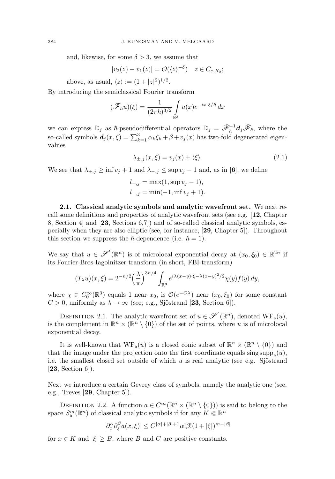and, likewise, for some  $\delta > 3$ , we assume that

$$
|v_2(z) - v_1(z)| = \mathcal{O}(\langle z \rangle^{-\delta}) \quad z \in C_{\varepsilon, R_0};
$$

above, as usual,  $\langle z \rangle := (1 + |z|^2)^{1/2}$ .

By introducing the semiclassical Fourier transform

$$
(\mathscr{F}_\hbar u)(\xi) = \frac{1}{(2\pi\hbar)^{3/2}} \int_{\mathbb{R}^3} u(x) e^{-ix \cdot \xi/\hbar} dx
$$

we can express  $\mathbb{D}_j$  as  $\hbar$ -pseudodifferential operators  $\mathbb{D}_j = \mathscr{F}_h^{-1} d_j \mathscr{F}_h$ , where the so-called symbols  $\mathbf{d}_j(x,\xi) = \sum_{k=1}^3 \alpha_k \xi_k + \beta + v_j(x)$  has two-fold degenerated eigenvalues

$$
\lambda_{\pm,j}(x,\xi) = v_j(x) \pm \langle \xi \rangle. \tag{2.1}
$$

We see that  $\lambda_{+,j} \ge \inf v_j + 1$  and  $\lambda_{-,j} \le \sup v_j - 1$  and, as in [6], we define

$$
l_{+,j} = \max(1, \sup v_j - 1),
$$
  

$$
l_{-,j} = \min(-1, \inf v_j + 1).
$$

**2.1. Classical analytic symbols and analytic wavefront set.** We next recall some definitions and properties of analytic wavefront sets (see e.g. [**12**, Chapter 8, Section 4] and [**23**, Sections 6,7]) and of so-called classical analytic symbols, especially when they are also elliptic (see, for instance, [**29**, Chapter 5]). Throughout this section we suppress the  $\hbar$ -dependence (i.e.  $\hbar = 1$ ).

We say that  $u \in \mathscr{S}'(\mathbb{R}^n)$  is of microlocal exponential decay at  $(x_0, \xi_0) \in \mathbb{R}^{2n}$  if its Fourier-Bros-Iagolnitzer transform (in short, FBI-transform)

$$
(T_{\lambda}u)(x,\xi) = 2^{-n/2} \left(\frac{\lambda}{\pi}\right)^{3n/4} \int_{\mathbb{R}^3} e^{i\lambda(x-y)\cdot\xi - \lambda(x-y)^2/2} \chi(y) f(y) \, dy,
$$

where  $\chi \in C_0^{\infty}(\mathbb{R}^3)$  equals 1 near  $x_0$ , is  $\mathcal{O}(e^{-C\lambda})$  near  $(x_0, \xi_0)$  for some constant  $C > 0$ , uniformly as  $\lambda \to \infty$  (see, e.g., Sjöstrand [23, Section 6]).

DEFINITION 2.1. The analytic wavefront set of  $u \in \mathscr{S}'(\mathbb{R}^n)$ , denoted  $WF_a(u)$ , is the complement in  $\mathbb{R}^n \times (\mathbb{R}^n \setminus \{0\})$  of the set of points, where u is of microlocal exponential decay.

It is well-known that  $WF_a(u)$  is a closed conic subset of  $\mathbb{R}^n \times (\mathbb{R}^n \setminus \{0\})$  and that the image under the projection onto the first coordinate equals sing supp<sub>a</sub> $(u)$ , i.e. the smallest closed set outside of which u is real analytic (see e.g. Sjöstrand [**23**, Section 6]).

Next we introduce a certain Gevrey class of symbols, namely the analytic one (see, e.g., Treves [**29**, Chapter 5]).

DEFINITION 2.2. A function  $a \in C^{\infty}(\mathbb{R}^n \times (\mathbb{R}^n \setminus \{0\}))$  is said to belong to the space  $S_n^m(\mathbb{R}^n)$  of classical analytic symbols if for any  $K \in \mathbb{R}^n$ 

$$
|\partial_x^{\alpha} \partial_{\xi}^{\beta} a(x,\xi)| \le C^{|\alpha|+|\beta|+1} \alpha! \beta! (1+|\xi|)^{m-|\beta|}
$$

for  $x \in K$  and  $|\xi| \geq B$ , where B and C are positive constants.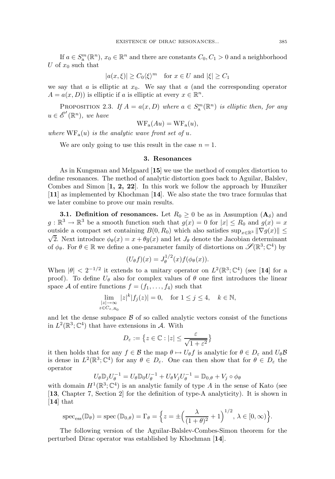If  $a \in S_a^m(\mathbb{R}^n)$ ,  $x_0 \in \mathbb{R}^n$  and there are constants  $C_0, C_1 > 0$  and a neighborhood U of  $x_0$  such that

$$
|a(x,\xi)| \ge C_0 \langle \xi \rangle^m \quad \text{for } x \in U \text{ and } |\xi| \ge C_1
$$

we say that a is elliptic at  $x_0$ . We say that a (and the corresponding operator  $A = a(x, D)$  is elliptic if a is elliptic at every  $x \in \mathbb{R}^n$ .

PROPOSITION 2.3. If  $A = a(x, D)$  where  $a \in S_a^m(\mathbb{R}^n)$  is elliptic then, for any  $u \in \mathscr{E}'(\mathbb{R}^n)$ , we have

$$
WF_a(Au) = WF_a(u),
$$

where  $WF_a(u)$  is the analytic wave front set of u.

We are only going to use this result in the case  $n = 1$ .

## **3. Resonances**

As in Kungsman and Melgaard [**15**] we use the method of complex distortion to define resonances. The method of analytic distortion goes back to Aguilar, Balslev, Combes and Simon [**1, 2, 22**]. In this work we follow the approach by Hunziker [**11**] as implemented by Khochman [**14**]. We also state the two trace formulas that we later combine to prove our main results.

**3.1. Definition of resonances.** Let  $R_0 \geq 0$  be as in Assumption  $(A_\delta)$  and  $g: \mathbb{R}^3 \to \mathbb{R}^3$  be a smooth function such that  $g(x) = 0$  for  $|x| \le R_0$  and  $g(x) = x$ outside a compact set containing  $B(0, R_0)$  which also satisfies sup<sub>x∈R3</sub>  $\|\nabla g(x)\|$   $\leq$  $\sqrt{2}$ . Next introduce  $\phi_{\theta}(x) = x + \theta g(x)$  and let  $J_{\theta}$  denote the Jacobian determinant of  $\phi_{\theta}$ . For  $\theta \in \mathbb{R}$  we define a one-parameter family of distortions on  $\mathscr{S}(\mathbb{R}^3;\mathbb{C}^4)$  by

$$
(U_{\theta}f)(x) = J_{\theta}^{1/2}(x)f(\phi_{\theta}(x)).
$$

When  $|\theta| < 2^{-1/2}$  it extends to a unitary operator on  $L^2(\mathbb{R}^3;\mathbb{C}^4)$  (see [14] for a proof). To define  $U_{\theta}$  also for complex values of  $\theta$  one first introduces the linear space A of entire functions  $f = (f_1, \ldots, f_4)$  such that

$$
\lim_{\substack{|z| \to \infty \\ z \in C_{\varepsilon, R_0}}} |z|^k |f_j(z)| = 0, \quad \text{for } 1 \le j \le 4, \quad k \in \mathbb{N},
$$

and let the dense subspace  $\beta$  of so called analytic vectors consist of the functions in  $L^2(\mathbb{R}^3;\mathbb{C}^4)$  that have extensions in A. With

$$
D_{\varepsilon} := \left\{ z \in \mathbb{C} : |z| \le \frac{\varepsilon}{\sqrt{1 + \varepsilon^2}} \right\}
$$

it then holds that for any  $f \in \mathcal{B}$  the map  $\theta \mapsto U_{\theta}f$  is analytic for  $\theta \in D_{\varepsilon}$  and  $U_{\theta}\mathcal{B}$ is dense in  $L^2(\mathbb{R}^3;\mathbb{C}^4)$  for any  $\theta \in D_{\varepsilon}$ . One can then show that for  $\theta \in D_{\varepsilon}$  the operator

$$
U_{\theta} \mathbb{D}_j U_{\theta}^{-1} = U_{\theta} \mathbb{D}_0 U_{\theta}^{-1} + U_{\theta} V_j U_{\theta}^{-1} = \mathbb{D}_{0,\theta} + V_j \circ \phi_{\theta}
$$

 $U_{\theta} \mathbb{D}_j U_{\theta}^{-1} = U_{\theta} \mathbb{D}_0 U_{\theta}^{-1} + U_{\theta} V_j U_{\theta}^{-1} = \mathbb{D}_{0,\theta} + V_j \circ \phi_{\theta}$ <br>with domain  $H^1(\mathbb{R}^3; \mathbb{C}^4)$  is an analytic family of type A in the sense of Kato (see [**13**, Chapter 7, Section 2] for the definition of type-A analyticity). It is shown in [**14**] that

spec<sub>ess</sub>(
$$
\mathbb{D}_{\theta}
$$
) = spec ( $\mathbb{D}_{0,\theta}$ ) =  $\Gamma_{\theta} = \left\{ z = \pm \left( \frac{\lambda}{(1+\theta)^2} + 1 \right)^{1/2}, \lambda \in [0,\infty) \right\}.$ 

The following version of the Aguilar-Balslev-Combes-Simon theorem for the perturbed Dirac operator was established by Khochman [**14**].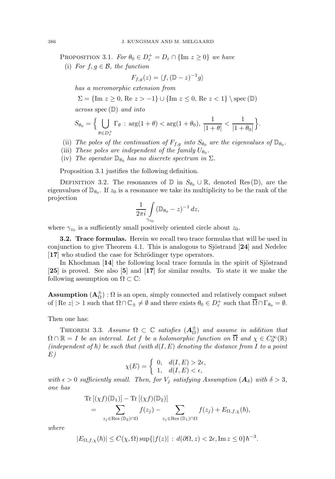PROPOSITION 3.1. For  $\theta_0 \in D_{\varepsilon}^+ = D_{\varepsilon} \cap {\{\text{Im } z \ge 0\}}$  we have

(i) For  $f, g \in \mathcal{B}$ , the function

$$
F_{f,g}(z) = \langle f, (\mathbb{D} - z)^{-1} g \rangle
$$

has a meromorphic extension from

 $\Sigma = {\text{Im } z \geq 0, \text{Re } z > -1} \cup {\text{Im } z \leq 0, \text{Re } z < 1} \setminus \text{spec } (\mathbb{D})$ 

across spec $(D)$  and into

$$
S_{\theta_0} = \Big\{ \bigcup_{\theta \in D_{\varepsilon}^+} \Gamma_{\theta} : \arg(1 + \theta) < \arg(1 + \theta_0), \frac{1}{|1 + \theta|} < \frac{1}{|1 + \theta_0|} \Big\}.
$$

- (ii) The poles of the continuation of  $F_{f,g}$  into  $S_{\theta_0}$  are the eigenvalues of  $\mathbb{D}_{\theta_0}$ .
- (iii) These poles are independent of the family  $U_{\theta_0}$ .
- (iv) The operator  $\mathbb{D}_{\theta_0}$  has no discrete spectrum in  $\Sigma$ .

Proposition 3.1 justifies the following definition.

DEFINITION 3.2. The resonances of  $\mathbb D$  in  $S_{\theta_0} \cup \mathbb R$ , denoted Res  $(\mathbb D)$ , are the eigenvalues of  $\mathbb{D}_{\theta_0}$ . If  $z_0$  is a resonance we take its multiplicity to be the rank of the projection

$$
\frac{1}{2\pi i}\int\limits_{\gamma_{z_0}} (\mathbb{D}_{\theta_0}-z)^{-1}\,dz,
$$

where  $\gamma_{z_0}$  is a sufficiently small positively oriented circle about  $z_0$ .

**3.2. Trace formulas.** Herein we recall two trace formulas that will be used in conjunction to give Theorem 4.1. This is analogous to Sjöstrand  $[24]$  and Nedelec [17] who studied the case for Schrödinger type operators.

In Khochman  $\left[14\right]$  the following local trace formula in the spirit of Sjöstrand [**25**] is proved. See also [**5**] and [**17**] for similar results. To state it we make the following assumption on  $\Omega \subset \mathbb{C}$ :

**Assumption**  $(\mathbf{A}_{\Omega}^{\pm}) : \Omega$  is an open, simply connected and relatively compact subset of  $| \text{Re } z | > 1$  such that  $\Omega \cap \mathbb{C}_{\pm} \neq \emptyset$  and there exists  $\theta_0 \in D_{\varepsilon}^+$  such that  $\overline{\Omega} \cap \Gamma_{\theta_0} = \emptyset$ .

Then one has:

THEOREM 3.3. Assume  $\Omega \subset \mathbb{C}$  satisfies  $(A_{\Omega}^{\pm})$  and assume in addition that  $\Omega \cap \mathbb{R} = I$  be an interval. Let f be a holomorphic function on  $\overline{\Omega}$  and  $\chi \in C_0^{\infty}(\mathbb{R})$ (independent of  $\hbar$ ) be such that (with  $d(I, E)$  denoting the distance from I to a point E)

$$
\chi(E) = \begin{cases} 0, & d(I, E) > 2\epsilon, \\ 1, & d(I, E) < \epsilon, \end{cases}
$$

with  $\epsilon > 0$  sufficiently small. Then, for  $V_j$  satisfying Assumption  $(\mathbf{A}_{\delta})$  with  $\delta > 3$ , one has

$$
\mathrm{Tr}\left[ (\chi f)(\mathbb{D}_1) \right] - \mathrm{Tr}\left[ (\chi f)(\mathbb{D}_2) \right] \n= \sum_{z_j \in \mathrm{Res}\,(\mathbb{D}_2) \cap \Omega} f(z_j) - \sum_{z_j \in \mathrm{Res}\,(\mathbb{D}_1) \cap \Omega} f(z_j) + E_{\Omega, f, \chi}(\hbar),
$$

where

$$
|E_{\Omega,f,\chi}(\hbar)| \le C(\chi,\Omega)\sup\{|f(z)|\,:\,d(\partial\Omega,z) < 2\epsilon,\text{Im}\,z \le 0\}\hbar^{-3}.
$$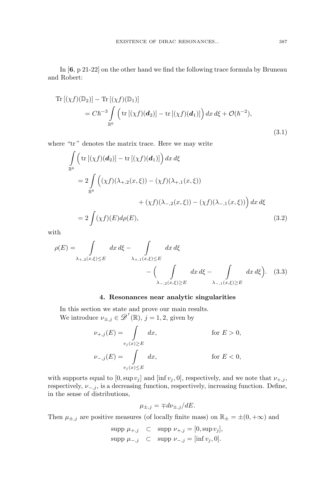In [**6**, p 21-22] on the other hand we find the following trace formula by Bruneau and Robert:

Tr 
$$
[(\chi f)(\mathbb{D}_2)] - \text{Tr } [(\chi f)(\mathbb{D}_1)]
$$
  
=  $Ch^{-3} \int_{\mathbb{R}^6} \left( \text{tr } [(\chi f)(\mathbf{d}_2)] - \text{tr } [(\chi f)(\mathbf{d}_1)] \right) dx d\xi + \mathcal{O}(\hbar^{-2}),$  (3.1)

where "tr" denotes the matrix trace. Here we may write

$$
\int_{\mathbb{R}^6} \left( \operatorname{tr} \left[ (\chi f)(d_2) \right] - \operatorname{tr} \left[ (\chi f)(d_1) \right] \right) dx d\xi
$$
\n
$$
= 2 \int_{\mathbb{R}^6} \left( (\chi f)(\lambda_{+,2}(x,\xi)) - (\chi f)(\lambda_{+,1}(x,\xi)) \right) dx d\xi
$$
\n
$$
+ (\chi f)(\lambda_{-,2}(x,\xi)) - (\chi f)(\lambda_{-,1}(x,\xi)) \right) dx d\xi
$$
\n
$$
= 2 \int (\chi f)(E) d\rho(E), \tag{3.2}
$$

with

$$
\rho(E) = \int_{\lambda_{+,2}(x,\xi)\leq E} dx \, d\xi - \int_{\lambda_{+,1}(x,\xi)\leq E} dx \, d\xi - \int_{\lambda_{-,2}(x,\xi)\geq E} dx \, d\xi - \int_{\lambda_{-,1}(x,\xi)\geq E} dx \, d\xi \Big). \tag{3.3}
$$

### **4. Resonances near analytic singularities**

In this section we state and prove our main results. We introduce  $\nu_{\pm,j} \in \mathscr{D}'(\mathbb{R})$ ,  $j = 1, 2$ , given by

$$
\nu_{+,j}(E) = \int_{v_j(x)\geq E} dx, \quad \text{for } E > 0,
$$
  

$$
\nu_{-,j}(E) = \int_{v_j(x)\leq E} dx, \quad \text{for } E < 0,
$$

with supports equal to  $[0, \sup v_j]$  and  $[\inf v_j, 0]$ , respectively, and we note that  $\nu_{+,j}$ , respectively,  $\nu_{-,j}$ , is a decreasing function, respectively, increasing function. Define, in the sense of distributions,

$$
\mu_{\pm,j} = \mp d\nu_{\pm,j}/dE.
$$

Then  $\mu_{\pm,j}$  are positive measures (of locally finite mass) on  $\mathbb{R}_{\pm} = \pm (0, +\infty)$  and

$$
\text{supp }\mu_{+,j} \quad \subset \quad \text{supp }\nu_{+,j} = [0, \text{sup }\nu_j],
$$
\n
$$
\text{supp }\mu_{-,j} \quad \subset \quad \text{supp }\nu_{-,j} = [\inf \nu_j, 0].
$$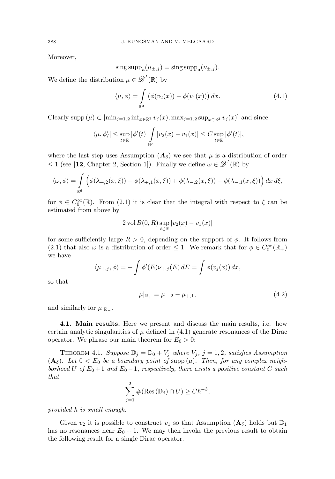Moreover,

$$
\operatorname{sing} \operatorname{supp}_a(\mu_{\pm,j}) = \operatorname{sing} \operatorname{supp}_a(\nu_{\pm,j}).
$$

We define the distribution  $\mu \in \mathscr{D}'(\mathbb{R})$  by

$$
\langle \mu, \phi \rangle = \int_{\mathbb{R}^3} \left( \phi(v_2(x)) - \phi(v_1(x)) \right) dx.
$$
 (4.1)

Clearly supp  $(\mu) \subset \left[\min_{j=1,2} \inf_{x \in \mathbb{R}^3} v_j(x), \max_{j=1,2} \sup_{x \in \mathbb{R}^3} v_j(x)\right]$  and since

$$
|\langle \mu, \phi \rangle| \leq \sup_{t \in \mathbb{R}} |\phi'(t)| \int_{\mathbb{R}^3} |v_2(x) - v_1(x)| \leq C \sup_{t \in \mathbb{R}} |\phi'(t)|,
$$

where the last step uses Assumption  $(\mathbf{A}_{\delta})$  we see that  $\mu$  is a distribution of order  $\leq 1$  (see [12, Chapter 2, Section 1]). Finally we define  $\omega \in \mathscr{D}'(\mathbb{R})$  by

$$
\langle \omega, \phi \rangle = \int_{\mathbb{R}^6} \left( \phi(\lambda_{+,2}(x,\xi)) - \phi(\lambda_{+,1}(x,\xi)) + \phi(\lambda_{-,2}(x,\xi)) - \phi(\lambda_{-,1}(x,\xi)) \right) dx \, d\xi,
$$

for  $\phi \in C_0^{\infty}(\mathbb{R})$ . From (2.1) it is clear that the integral with respect to  $\xi$  can be estimated from above by

$$
2 \text{ vol } B(0, R) \sup_{t \in \mathbb{R}} |v_2(x) - v_1(x)|
$$

for some sufficiently large  $R > 0$ , depending on the support of  $\phi$ . It follows from (2.1) that also  $\omega$  is a distribution of order  $\leq$  1. We remark that for  $\phi \in C_0^{\infty}(\mathbb{R}_+)$ we have

$$
\langle \mu_{+,j}, \phi \rangle = -\int \phi'(E) \nu_{+,j}(E) dE = \int \phi(v_j(x)) dx,
$$

so that

$$
\mu|_{\mathbb{R}_+} = \mu_{+,2} - \mu_{+,1},\tag{4.2}
$$

and similarly for  $\mu|_{\mathbb{R}_-}$ .

**4.1. Main results.** Here we present and discuss the main results, i.e. how certain analytic singularities of  $\mu$  defined in (4.1) generate resonances of the Dirac operator. We phrase our main theorem for  $E_0 > 0$ :

THEOREM 4.1. Suppose  $\mathbb{D}_i = \mathbb{D}_0 + V_i$  where  $V_i$ ,  $j = 1, 2$ , satisfies Assumption  $(A_{\delta})$ . Let  $0 < E_0$  be a boundary point of supp  $(\mu)$ . Then, for any complex neighborhood U of  $E_0 + 1$  and  $E_0 - 1$ , respectively, there exists a positive constant C such that

$$
\sum_{j=1}^{2} \#(\text{Res}(\mathbb{D}_j) \cap U) \ge C\hbar^{-3},
$$

provided  $\hbar$  is small enough.

Given  $v_2$  it is possible to construct  $v_1$  so that Assumption  $(\mathbf{A}_{\delta})$  holds but  $\mathbb{D}_1$ has no resonances near  $E_0 + 1$ . We may then invoke the previous result to obtain the following result for a single Dirac operator.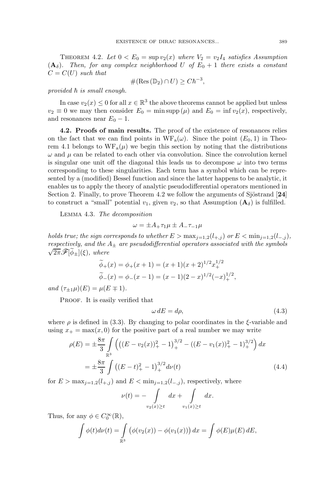THEOREM 4.2. Let  $0 < E_0 = \sup v_2(x)$  where  $V_2 = v_2 I_4$  satisfies Assumption  $(A_{\delta})$ . Then, for any complex neighborhood U of  $E_0 + 1$  there exists a constant  $C = C(U)$  such that

$$
\#(\text{Res}(\mathbb{D}_2) \cap U) \geq C\hbar^{-3},
$$

provided  $\hbar$  is small enough.

In case  $v_2(x) \leq 0$  for all  $x \in \mathbb{R}^3$  the above theorems cannot be applied but unless  $v_2 \equiv 0$  we may then consider  $E_0 = \min \sup_{\mu} (\mu)$  and  $E_0 = \inf v_2(x)$ , respectively, and resonances near  $E_0 - 1$ .

**4.2. Proofs of main results.** The proof of the existence of resonances relies on the fact that we can find points in  $WF_a(\omega)$ . Since the point  $(E_0, 1)$  in Theorem 4.1 belongs to  $WF_a(\mu)$  we begin this section by noting that the distributions  $\omega$  and  $\mu$  can be related to each other via convolution. Since the convolution kernel is singular one unit off the diagonal this leads us to decompose  $\omega$  into two terms corresponding to these singularities. Each term has a symbol which can be represented by a (modified) Bessel function and since the latter happens to be analytic, it enables us to apply the theory of analytic pseudodifferential operators mentioned in Section 2. Finally, to prove Theorem 4.2 we follow the arguments of Sjöstrand [24] to construct a "small" potential  $v_1$ , given  $v_2$ , so that Assumption  $(\mathbf{A}_{\delta})$  is fulfilled.

Lemma 4.3. The decomposition

$$
\omega = \pm A_+ \tau_1 \mu \pm A_- \tau_{-1} \mu
$$

holds true; the sign corresponds to whether  $E > \max_{j=1,2}(l_{+,j})$  or  $E < \min_{j=1,2}(l_{-,j}),$ respectively, and the  $A_{\pm}$  are pseudodifferential operators associated with the symbols  $\sqrt{2\pi}\mathscr{F}[\widetilde{\phi}_+](\xi)$ , where

$$
\widetilde{\phi}_{+}(x) = \phi_{+}(x+1) = (x+1)(x+2)^{1/2}x_{+}^{1/2}
$$

$$
\widetilde{\phi}_{-}(x) = \phi_{-}(x-1) = (x-1)(2-x)^{1/2}(-x)_{+}^{1/2},
$$

and  $(\tau_{\pm 1}\mu)(E) = \mu(E \mp 1).$ 

PROOF. It is easily verified that

$$
\omega \, dE = d\rho,\tag{4.3}
$$

where  $\rho$  is defined in (3.3). By changing to polar coordinates in the  $\xi$ -variable and using  $x_+ = \max(x, 0)$  for the positive part of a real number we may write

$$
\rho(E) = \pm \frac{8\pi}{3} \int_{\mathbb{R}^3} \left( \left( (E - v_2(x))^2 + 1 \right)_+^{3/2} - \left( (E - v_1(x))^2 + 1 \right)_+^{3/2} \right) dx
$$
  
= 
$$
\pm \frac{8\pi}{3} \int_{-\infty}^{\infty} \left( (E - t)^2 + 1 \right)_+^{3/2} dv(t) \tag{4.4}
$$

for  $E > \max_{j=1,2}(l_{+,j})$  and  $E < \min_{j=1,2}(l_{-,j})$ , respectively, where

$$
\nu(t) = -\int\limits_{v_2(x)\geq t} dx + \int\limits_{v_1(x)\geq t} dx.
$$

Thus, for any  $\phi \in C_0^{\infty}(\mathbb{R}),$ 

$$
\int \phi(t)d\nu(t) = \int_{\mathbb{R}^3} \left( \phi(v_2(x)) - \phi(v_1(x)) \right) dx = \int \phi(E)\mu(E) dE,
$$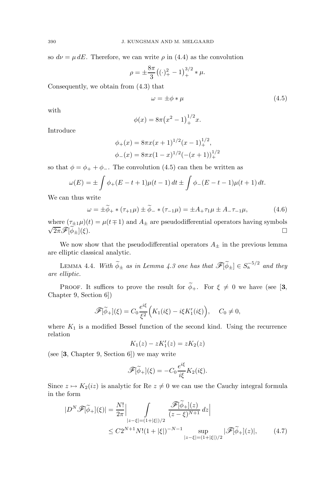so  $d\nu = \mu dE$ . Therefore, we can write  $\rho$  in (4.4) as the convolution

$$
\rho = \pm \frac{8\pi}{3} \left( (\cdot)_{+}^{2} - 1 \right)_{+}^{3/2} * \mu.
$$

Consequently, we obtain from (4.3) that

$$
\omega = \pm \phi * \mu \tag{4.5}
$$

with

$$
\phi(x) = 8\pi \left(x^2 - 1\right)_+^{1/2} x.
$$

Introduce

$$
\phi_{+}(x) = 8\pi x(x+1)^{1/2}(x-1)^{1/2}_{+},
$$
  

$$
\phi_{-}(x) = 8\pi x(1-x)^{1/2}(-(x+1))_{+}^{1/2}
$$

so that  $\phi = \phi_+ + \phi_-.$  The convolution (4.5) can then be written as

$$
\omega(E) = \pm \int \phi_+(E - t + 1)\mu(t - 1) dt \pm \int \phi_-(E - t - 1)\mu(t + 1) dt.
$$

We can thus write

$$
\omega = \pm \widetilde{\phi}_{+} * (\tau_{+1} \mu) \pm \widetilde{\phi}_{-} * (\tau_{-1} \mu) = \pm A_{+} \tau_{1} \mu \pm A_{-} \tau_{-1} \mu, \tag{4.6}
$$

where  $(\tau_{\pm 1}\mu)(t) = \mu(t \mp 1)$  and  $A_{\pm}$  are pseudodifferential operators having symbols  $\sqrt{2\pi} \mathscr{F}[\phi_{\pm}](\xi)$ .

We now show that the pseudodifferential operators  $A_{\pm}$  in the previous lemma are elliptic classical analytic.

LEMMA 4.4. With  $\widetilde{\phi}_{\pm}$  as in Lemma 4.3 one has that  $\mathscr{F}[\widetilde{\phi}_{\pm}] \in S_{a}^{-5/2}$  and they are elliptic.

PROOF. It suffices to prove the result for  $\widetilde{\phi}_+$ . For  $\xi \neq 0$  we have (see [3, Chapter 9, Section 6])

$$
\mathscr{F}[\widetilde{\phi}_+](\xi) = C_0 \frac{e^{i\xi}}{\xi^2} \Big( K_1(i\xi) - i\xi K_1'(i\xi) \Big), \quad C_0 \neq 0,
$$

where  $K_1$  is a modified Bessel function of the second kind. Using the recurrence relation

$$
K_1(z) - zK'_1(z) = zK_2(z)
$$

(see [**3**, Chapter 9, Section 6]) we may write

$$
\mathscr{F}[\widetilde{\phi}_+](\xi) = -C_0 \frac{e^{i\xi}}{i\xi} K_2(i\xi).
$$

Since  $z \mapsto K_2(iz)$  is analytic for Re  $z \neq 0$  we can use the Cauchy integral formula in the form

$$
|D^N \mathscr{F}[\tilde{\phi}_+](\xi)| = \frac{N!}{2\pi} \Big| \int\limits_{|z-\xi|=(1+|\xi|)/2} \frac{\mathscr{F}[\tilde{\phi}_+](z)}{(z-\xi)^{N+1}} dz \Big|
$$
  
 
$$
\leq C2^{N+1} N! (1+|\xi|)^{-N-1} \sup\limits_{|z-\xi|=(1+|\xi|)/2} |\mathscr{F}[\tilde{\phi}_+](z)|, \qquad (4.7)
$$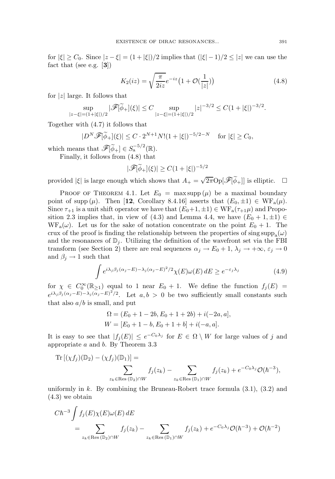for  $|\xi| \geq C_0$ . Since  $|z - \xi| = (1 + |\xi|)/2$  implies that  $(|\xi| - 1)/2 \leq |z|$  we can use the fact that (see e.g. [**3**])

$$
K_2(iz) = \sqrt{\frac{\pi}{2iz}} e^{-iz} \left( 1 + \mathcal{O}(\frac{1}{|z|}) \right)
$$
 (4.8)

for  $|z|$  large. It follows that

$$
\sup_{|z-\xi|=(1+|\xi|)/2} |\mathscr{F}[\widetilde{\phi}_+](\xi)| \le C \sup_{|z-\xi|=(1+|\xi|)/2} |z|^{-3/2} \le C(1+|\xi|)^{-3/2}.
$$

Together with (4.7) it follows that

$$
|D^N \mathscr{F}[\widetilde{\phi}_+] (\xi)| \le C \cdot 2^{N+1} N! (1+|\xi|)^{-5/2-N} \quad \text{for } |\xi| \ge C_0,
$$

which means that  $\mathscr{F}[\widetilde{\phi}_+] \in S_{\mathbf{a}}^{-5/2}(\mathbb{R}).$ 

Finally, it follows from (4.8) that

$$
|\mathscr{F}[\widetilde{\phi}_+](\xi)| \geq C(1+|\xi|)^{-5/2}
$$

provided  $|\xi|$  is large enough which shows that  $A_+ = \sqrt{2\pi} \text{Op}[\mathscr{F}|\widetilde{\phi}_+]|$  is elliptic.

PROOF OF THEOREM 4.1. Let  $E_0 = \max \sup ( \mu )$  be a maximal boundary point of supp  $(\mu)$ . Then [12, Corollary 8.4.16] asserts that  $(E_0, \pm 1) \in \text{WF}_{a}(\mu)$ . Since  $\tau_{+1}$  is a unit shift operator we have that  $(E_0+1,\pm 1) \in \text{WF}_a(\tau_{+1}\mu)$  and Proposition 2.3 implies that, in view of (4.3) and Lemma 4.4, we have  $(E_0 + 1, \pm 1) \in$  $WF_a(\omega)$ . Let us for the sake of notation concentrate on the point  $E_0 + 1$ . The crux of the proof is finding the relationship between the properties of sing  $\text{supp}_{a}(\omega)$ and the resonances of  $\mathbb{D}_j$ . Utilizing the definition of the wavefront set via the FBI transform (see Section 2) there are real sequences  $\alpha_j \to E_0 + 1$ ,  $\lambda_j \to +\infty$ ,  $\varepsilon_j \to 0$ and  $\beta_j \to 1$  such that

$$
\int e^{i\lambda_j \beta_j (\alpha_j - E) - \lambda_j (\alpha_j - E)^2/2} \chi(E) \omega(E) dE \ge e^{-\varepsilon_j \lambda_j}
$$
\n(4.9)

for  $\chi \in C_0^{\infty}(\mathbb{R}_{\geq 1})$  equal to 1 near  $E_0 + 1$ . We define the function  $f_j(E) =$  $e^{i\lambda_j\beta_j(\alpha_j - E) - \lambda_j(\alpha_j - E)^2/2}$ . Let  $a, b > 0$  be two sufficiently small constants such that also  $a/b$  is small, and put

$$
\Omega = (E_0 + 1 - 2b, E_0 + 1 + 2b) + i(-2a, a],
$$
  
 
$$
W = [E_0 + 1 - b, E_0 + 1 + b] + i(-a, a].
$$

It is easy to see that  $|f_j(E)| \leq e^{-C_0\lambda_j}$  for  $E \in \Omega \setminus W$  for large values of j and appropriate  $a$  and  $b$ . By Theorem 3.3

Tr 
$$
[(\chi f_j)(\mathbb{D}_2) - (\chi f_j)(\mathbb{D}_1)] =
$$
  

$$
\sum_{z_k \in \text{Res }(\mathbb{D}_2) \cap W} f_j(z_k) - \sum_{z_k \in \text{Res }(\mathbb{D}_1) \cap W} f_j(z_k) + e^{-C_0 \lambda_j} \mathcal{O}(\hbar^{-3}),
$$

uniformly in k. By combining the Bruneau-Robert trace formula  $(3.1)$ ,  $(3.2)$  and (4.3) we obtain

$$
C\hbar^{-3} \int f_j(E)\chi(E)\omega(E) dE
$$
  
= 
$$
\sum_{z_k \in \text{Res}(\mathbb{D}_2)\cap W} f_j(z_k) - \sum_{z_k \in \text{Res}(\mathbb{D}_1)\cap W} f_j(z_k) + e^{-C_0\lambda_j} \mathcal{O}(\hbar^{-3}) + \mathcal{O}(\hbar^{-2})
$$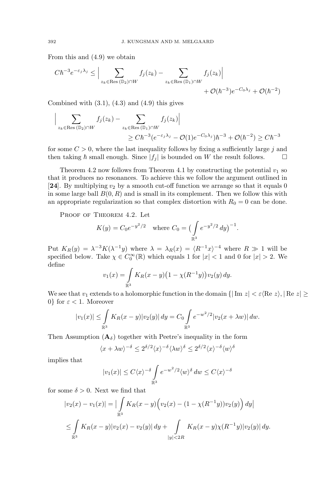From this and (4.9) we obtain

$$
C\hbar^{-3}e^{-\varepsilon_j\lambda_j} \leq \Big|\sum_{z_k \in \text{Res}(\mathbb{D}_2)\cap W} f_j(z_k) - \sum_{z_k \in \text{Res}(\mathbb{D}_1)\cap W} f_j(z_k)\Big| + \mathcal{O}(\hbar^{-3})e^{-C_0\lambda_j} + \mathcal{O}(\hbar^{-2})
$$

Combined with  $(3.1)$ ,  $(4.3)$  and  $(4.9)$  this gives

$$
\Big| \sum_{z_k \in \text{Res}(\mathbb{D}_2) \cap W} f_j(z_k) - \sum_{z_k \in \text{Res}(\mathbb{D}_1) \cap W} f_j(z_k) \Big|
$$
  
 
$$
\geq C \hbar^{-3} (e^{-\varepsilon_j \lambda_j} - \mathcal{O}(1) e^{-C_0 \lambda_j}) \hbar^{-3} + \mathcal{O}(\hbar^{-2}) \geq C \hbar^{-3}
$$

for some  $C > 0$ , where the last inequality follows by fixing a sufficiently large j and then taking  $\hbar$  small enough. Since  $|f_j|$  is bounded on W the result follows.  $\Box$ 

Theorem 4.2 now follows from Theorem 4.1 by constructing the potential  $v_1$  so that it produces no resonances. To achieve this we follow the argument outlined in [24]. By multiplying  $v_2$  by a smooth cut-off function we arrange so that it equals 0 in some large ball  $B(0, R)$  and is small in its complement. Then we follow this with an appropriate regularization so that complex distortion with  $R_0 = 0$  can be done.

PROOF OF THEOREM 4.2. Let

$$
K(y) = C_0 e^{-y^2/2}
$$
 where  $C_0 = \left(\int_{\mathbb{R}^3} e^{-y^2/2} dy\right)^{-1}$ .

Put  $K_R(y) = \lambda^{-3} K(\lambda^{-1}y)$  where  $\lambda = \lambda_R(x) = (R^{-1}x)^{-4}$  where  $R \gg 1$  will be specified below. Take  $\chi \in C_0^{\infty}(\mathbb{R})$  which equals 1 for  $|x| < 1$  and 0 for  $|x| > 2$ . We define

$$
v_1(x) = \int_{\mathbb{R}^3} K_R(x - y) \left(1 - \chi(R^{-1}y)\right) v_2(y) \, dy.
$$

We see that  $v_1$  extends to a holomorphic function in the domain  $\{\vert \text{Im } z \vert < \varepsilon \langle \text{Re } z \rangle, \vert \text{Re } z \vert \ge$ 0} for  $\varepsilon < 1$ . Moreover

$$
|v_1(x)| \leq \int_{\mathbb{R}^3} K_R(x-y) |v_2(y)| dy = C_0 \int_{\mathbb{R}^3} e^{-w^2/2} |v_2(x+\lambda w)| dw.
$$

Then Assumption  $(\mathbf{A}_{\delta})$  together with Peetre's inequality in the form

$$
\langle x + \lambda w \rangle^{-\delta} \le 2^{\delta/2} \langle x \rangle^{-\delta} \langle \lambda w \rangle^{\delta} \le 2^{\delta/2} \langle x \rangle^{-\delta} \langle w \rangle^{\delta}
$$

implies that

$$
|v_1(x)| \le C\langle x \rangle^{-\delta} \int_{\mathbb{R}^3} e^{-w^2/2} \langle w \rangle^{\delta} dw \le C\langle x \rangle^{-\delta}
$$

for some  $\delta > 0$ . Next we find that

$$
|v_2(x) - v_1(x)| = \left| \int_{\mathbb{R}^3} K_R(x - y) \Big( v_2(x) - (1 - \chi(R^{-1}y)) v_2(y) \Big) dy \right|
$$
  

$$
\leq \int_{\mathbb{R}^3} K_R(x - y) |v_2(x) - v_2(y)| dy + \int_{|y| < 2R} K_R(x - y) \chi(R^{-1}y) |v_2(y)| dy.
$$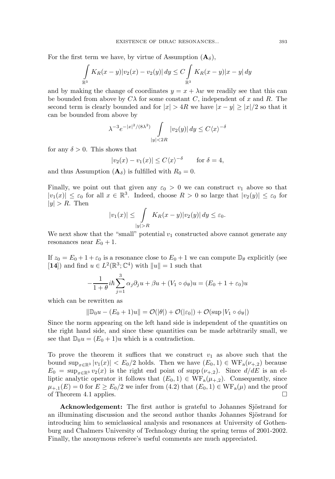For the first term we have, by virtue of Assumption  $(\mathbf{A}_{\delta})$ ,

$$
\int_{\mathbb{R}^3} K_R(x - y) |v_2(x) - v_2(y)| dy \le C \int_{\mathbb{R}^3} K_R(x - y) |x - y| dy
$$

and by making the change of coordinates  $y = x + \lambda w$  we readily see that this can be bounded from above by  $C\lambda$  for some constant C, independent of x and R. The second term is clearly bounded and for  $|x| > 4R$  we have  $|x - y| > |x|/2$  so that it can be bounded from above by

$$
\lambda^{-3} e^{-|x|^2/(8\lambda^2)} \int_{|y|<2R} |v_2(y)| dy \le C\langle x \rangle^{-\delta}
$$

for any  $\delta > 0$ . This shows that

$$
|v_2(x) - v_1(x)| \le C \langle x \rangle^{-\delta} \quad \text{for } \delta = 4,
$$

and thus Assumption  $(A_{\delta})$  is fulfilled with  $R_0 = 0$ .

Finally, we point out that given any  $\varepsilon_0 > 0$  we can construct  $v_1$  above so that  $|v_1(x)| \leq \varepsilon_0$  for all  $x \in \mathbb{R}^3$ . Indeed, choose  $R > 0$  so large that  $|v_2(y)| \leq \varepsilon_0$  for  $|y| > R$ . Then

$$
|v_1(x)| \le \int_{|y|>R} K_R(x-y)|v_2(y)| dy \le \varepsilon_0.
$$

We next show that the "small" potential  $v_1$  constructed above cannot generate any resonances near  $E_0 + 1$ .

If  $z_0 = E_0 + 1 + \varepsilon_0$  is a resonance close to  $E_0 + 1$  we can compute  $\mathbb{D}_{\theta}$  explicitly (see [**14**]) and find  $u \in L^2(\mathbb{R}^3; \mathbb{C}^4)$  with  $||u|| = 1$  such that

$$
-\frac{1}{1+\theta}i\hbar\sum_{j=1}^{3}\alpha_{j}\partial_{j}u+\beta u+(V_{1}\circ\phi_{\theta})u=(E_{0}+1+\varepsilon_{0})u
$$

which can be rewritten as

$$
\|\mathbb{D}_0 u - (E_0 + 1)u\| = \mathcal{O}(|\theta|) + \mathcal{O}(|\varepsilon_0|) + \mathcal{O}(\sup |V_1 \circ \phi_\theta|)
$$

Since the norm appearing on the left hand side is independent of the quantities on the right hand side, and since these quantities can be made arbitrarily small, we see that  $\mathbb{D}_0u = (E_0 + 1)u$  which is a contradiction.

To prove the theorem it suffices that we construct  $v_1$  as above such that the bound  $\sup_{x \in \mathbb{R}^3} |v_1(x)| \le E_0/2$  holds. Then we have  $(E_0, 1) \in \text{WF}_a(\nu_{+,2})$  because  $E_0 = \sup_{x \in \mathbb{R}^3} v_2(x)$  is the right end point of supp  $(\nu_{+,2})$ . Since  $d/dE$  is an elliptic analytic operator it follows that  $(E_0, 1) \in \text{WF}_a(\mu_{+,2})$ . Consequently, since  $\mu_{+,1}(E) = 0$  for  $E \ge E_0/2$  we infer from  $(4.2)$  that  $(E_0, 1) \in \text{WF}_a(\mu)$  and the proof of Theorem 4.1 applies. of Theorem 4.1 applies.

**Acknowledgement:** The first author is grateful to Johannes Sjöstrand for an illuminating discussion and the second author thanks Johannes Sjöstrand for introducing him to semiclassical analysis and resonances at University of Gothenburg and Chalmers University of Technology during the spring terms of 2001-2002. Finally, the anonymous referee's useful comments are much appreciated.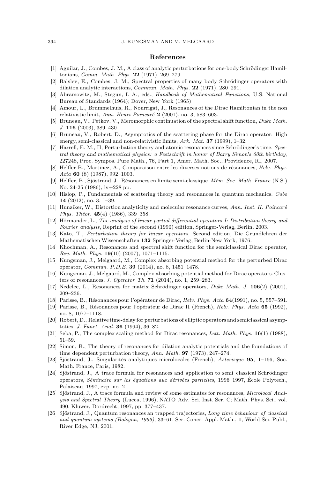#### **References**

- [1] Aguilar, J., Combes, J. M., A class of analytic perturbations for one-body Schrödinger Hamiltonians, Comm. Math. Phys. **22** (1971), 269–279.
- [2] Balslev, E., Combes, J. M., Spectral properties of many body Schrödinger operators with dilation analytic interactions, Commun. Math. Phys. **22** (1971), 280–291.
- [3] Abramowitz, M., Stegun, I. A., eds., Handbook of Mathematical Functions, U.S. National Bureau of Standards (1964); Dover, New York (1965)
- [4] Amour, L., Brummelhuis, R., Nourrigat, J., Resonances of the Dirac Hamiltonian in the non relativistic limit, Ann. Henri Poincar´e **2** (2001), no. 3, 583–603.
- [5] Bruneau, V., Petkov, V., Meromorphic continuation of the spectral shift function, Duke Math. J. **116** (2003), 389–430.
- [6] Bruneau, V., Robert, D., Asymptotics of the scattering phase for the Dirac operator: High energy, semi-classical and non-relativistic limits, Ark. Mat. **37** (1999), 1–32.
- [7] Harrell, E. M., II, Perturbation theory and atomic resonances since Schrödinger's time. Spectral theory and mathematical physics: a Festschrift in honor of Barry Simon's 60th birthday, 227248, Proc. Sympos. Pure Math., 76, Part 1, Amer. Math. Soc., Providence, RI, 2007.
- [8] Helffer B., Martinez, A., Comparaison entre les diverses notions de résonances, Helv. Phys. Acta **60** (8) (1987), 992–1003.
- [9] Helffer, B., Sjöstrand, J., Résonances en limite semi-classique. Mém. Soc. Math. France (N.S.) No. 24-25 (1986), iv+228 pp.
- [10] Hislop, P., Fundamentals of scattering theory and resonances in quantum mechanics. Cubo **14** (2012), no. 3, 1–39.
- [11] Hunziker, W., Distortion analyticity and molecular resonance curves, Ann. Inst. H. Poincaré Phys. Théor. **45**(4) (1986), 339-358.
- [12] Hörmander, L., The analysis of linear partial differential operators I: Distribution theory and Fourier analysis, Reprint of the second (1990) edition, Springer-Verlag, Berlin, 2003.
- [13] Kato, T., Perturbation theory for linear operators, Second edition, Die Grundlehren der Mathematischen Wissenschaften **132** Springer-Verlag, Berlin-New York, 1976.
- [14] Khochman, A., Resonances and spectral shift function for the semiclassical Dirac operator, Rev. Math. Phys. **19**(10) (2007), 1071–1115.
- [15] Kungsman, J., Melgaard, M., Complex absorbing potential method for the perturbed Dirac operator, Commun. P.D.E. **39** (2014), no. 8, 1451–1478.
- [16] Kungsman, J., Melgaard, M., Complex absorbing potential method for Dirac operators. Clusters of resonances, J. Operator Th. **71** (2014), no. 1, 259–283.
- [17] Nedelec, L., Resonances for matrix Schrödinger operators, *Duke Math. J.* **106**(2) (2001), 209–236.
- [18] Parisse, B., R´esonances pour l'op´erateur de Dirac, Helv. Phys. Acta **64**(1991), no. 5, 557–591.
- [19] Parisse, B., R´esonances pour l'op´erateur de Dirac II (French), Helv. Phys. Acta **65** (1992), no. 8, 1077–1118.
- [20] Robert, D., Relative time-delay for perturbations of elliptic operators and semiclassical asymptotics, J. Funct. Anal. **36** (1994), 36–82.
- [21] Seba, P., The complex scaling method for Dirac resonances, Lett. Math. Phys. **16**(1) (1988), 51–59.
- [22] Simon, B., The theory of resonances for dilation analytic potentials and the foundations of time dependent perturbation theory, Ann. Math. **97** (1973), 247–274.
- [23] Sjöstrand, J., Singularités analytiques microlocales (French), Asterisque **95**, 1–166, Soc. Math. France, Paris, 1982.
- [24] Sjöstrand, J., A trace formula for resonances and application to semi–classical Schrödinger operators, Séminaire sur les équations aux dérivées partielles, 1996–1997, École Polytech., Palaiseau, 1997, exp. no. 2.
- [25] Sjöstrand, J., A trace formula and review of some estimates for resonances, *Microlocal Anal*ysis and Spectral Theory (Lucca, 1996), NATO Adv. Sci. Inst. Ser. C; Math. Phys. Sci.. vol. 490, Kluwer, Dordrecht, 1997, pp. 377–437.
- [26] Sjöstrand, J., Quantum resonances an trapped trajectories, Long time behaviour of classical and quantum systems (Bologna, 1999), 33–61, Ser. Concr. Appl. Math., **1**, World Sci. Publ., River Edge, NJ, 2001.